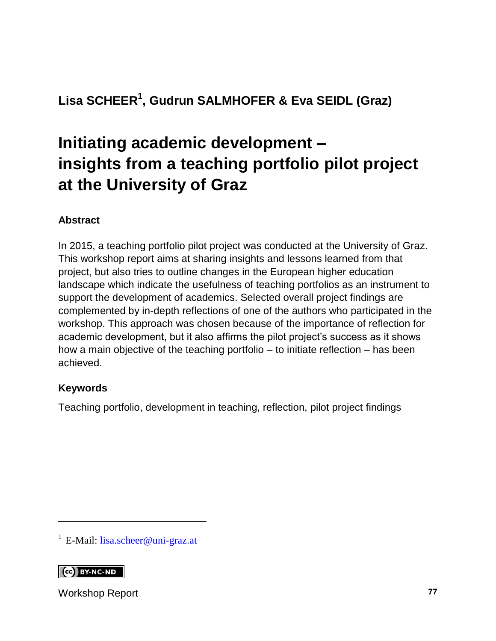### **Lisa SCHEER<sup>1</sup> , Gudrun SALMHOFER & Eva SEIDL (Graz)**

# **Initiating academic development – insights from a teaching portfolio pilot project at the University of Graz**

#### **Abstract**

In 2015, a teaching portfolio pilot project was conducted at the University of Graz. This workshop report aims at sharing insights and lessons learned from that project, but also tries to outline changes in the European higher education landscape which indicate the usefulness of teaching portfolios as an instrument to support the development of academics. Selected overall project findings are complemented by in-depth reflections of one of the authors who participated in the workshop. This approach was chosen because of the importance of reflection for academic development, but it also affirms the pilot project's success as it shows how a main objective of the teaching portfolio – to initiate reflection – has been achieved.

#### **Keywords**

Teaching portfolio, development in teaching, reflection, pilot project findings

<sup>1</sup> E-Mail: [lisa.scheer@uni-graz.at](mailto:lisa.scheer@uni-graz.at)

**CO** BY-NC-ND

l

Workshop Report **77**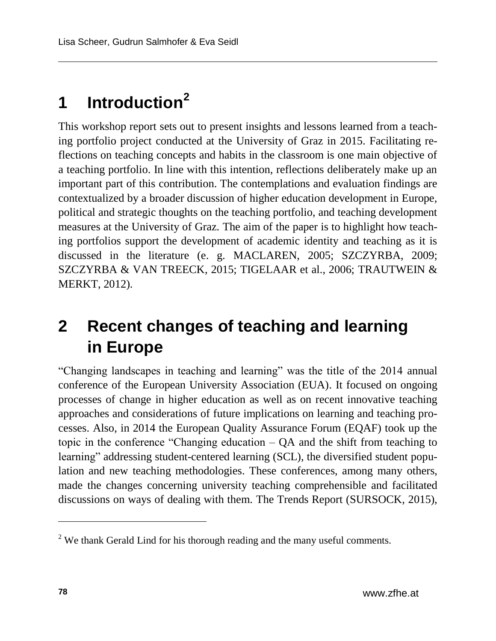# **1 Introduction<sup>2</sup>**

This workshop report sets out to present insights and lessons learned from a teaching portfolio project conducted at the University of Graz in 2015. Facilitating reflections on teaching concepts and habits in the classroom is one main objective of a teaching portfolio. In line with this intention, reflections deliberately make up an important part of this contribution. The contemplations and evaluation findings are contextualized by a broader discussion of higher education development in Europe, political and strategic thoughts on the teaching portfolio, and teaching development measures at the University of Graz. The aim of the paper is to highlight how teaching portfolios support the development of academic identity and teaching as it is discussed in the literature (e. g. MACLAREN, 2005; SZCZYRBA, 2009; SZCZYRBA & VAN TREECK, 2015; TIGELAAR et al., 2006; TRAUTWEIN & MERKT, 2012).

## **2 Recent changes of teaching and learning in Europe**

"Changing landscapes in teaching and learning" was the title of the 2014 annual conference of the European University Association (EUA). It focused on ongoing processes of change in higher education as well as on recent innovative teaching approaches and considerations of future implications on learning and teaching processes. Also, in 2014 the European Quality Assurance Forum (EQAF) took up the topic in the conference "Changing education – QA and the shift from teaching to learning" addressing student-centered learning (SCL), the diversified student population and new teaching methodologies. These conferences, among many others, made the changes concerning university teaching comprehensible and facilitated discussions on ways of dealing with them. The Trends Report (SURSOCK, 2015),

<sup>&</sup>lt;sup>2</sup> We thank Gerald Lind for his thorough reading and the many useful comments.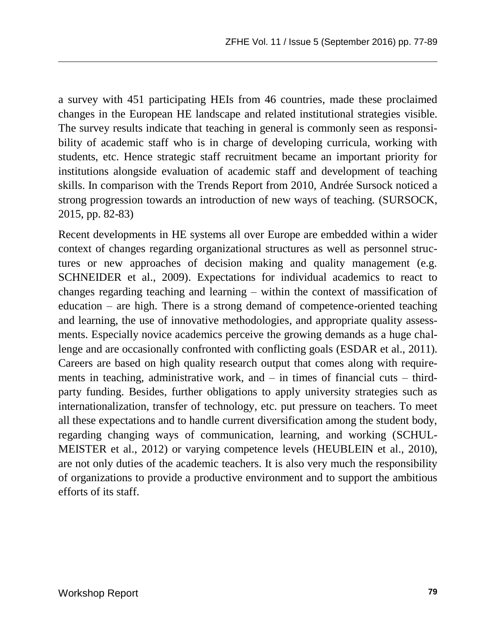a survey with 451 participating HEIs from 46 countries, made these proclaimed changes in the European HE landscape and related institutional strategies visible. The survey results indicate that teaching in general is commonly seen as responsibility of academic staff who is in charge of developing curricula, working with students, etc. Hence strategic staff recruitment became an important priority for institutions alongside evaluation of academic staff and development of teaching skills. In comparison with the Trends Report from 2010, Andrée Sursock noticed a strong progression towards an introduction of new ways of teaching. (SURSOCK, 2015, pp. 82-83)

Recent developments in HE systems all over Europe are embedded within a wider context of changes regarding organizational structures as well as personnel structures or new approaches of decision making and quality management (e.g. SCHNEIDER et al., 2009). Expectations for individual academics to react to changes regarding teaching and learning – within the context of massification of education – are high. There is a strong demand of competence-oriented teaching and learning, the use of innovative methodologies, and appropriate quality assessments. Especially novice academics perceive the growing demands as a huge challenge and are occasionally confronted with conflicting goals (ESDAR et al., 2011). Careers are based on high quality research output that comes along with requirements in teaching, administrative work, and – in times of financial cuts – thirdparty funding. Besides, further obligations to apply university strategies such as internationalization, transfer of technology, etc. put pressure on teachers. To meet all these expectations and to handle current diversification among the student body, regarding changing ways of communication, learning, and working (SCHUL-MEISTER et al., 2012) or varying competence levels (HEUBLEIN et al., 2010), are not only duties of the academic teachers. It is also very much the responsibility of organizations to provide a productive environment and to support the ambitious efforts of its staff.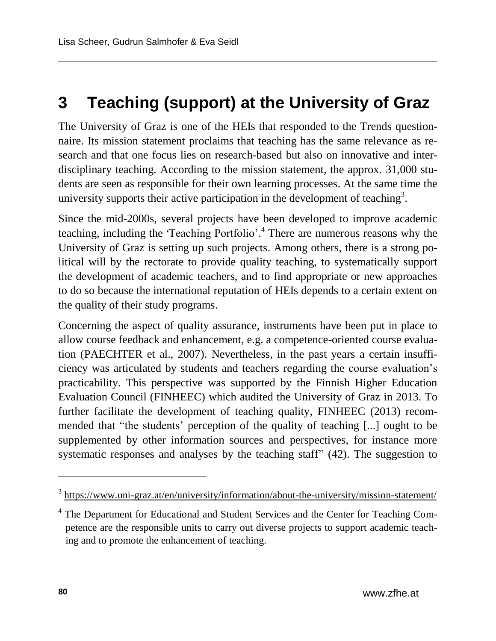## **3 Teaching (support) at the University of Graz**

The University of Graz is one of the HEIs that responded to the Trends questionnaire. Its mission statement proclaims that teaching has the same relevance as research and that one focus lies on research-based but also on innovative and interdisciplinary teaching. According to the mission statement, the approx. 31,000 students are seen as responsible for their own learning processes. At the same time the university supports their active participation in the development of teaching<sup>3</sup>.

Since the mid-2000s, several projects have been developed to improve academic teaching, including the 'Teaching Portfolio'.<sup>4</sup> There are numerous reasons why the University of Graz is setting up such projects. Among others, there is a strong political will by the rectorate to provide quality teaching, to systematically support the development of academic teachers, and to find appropriate or new approaches to do so because the international reputation of HEIs depends to a certain extent on the quality of their study programs.

Concerning the aspect of quality assurance, instruments have been put in place to allow course feedback and enhancement, e.g. a competence-oriented course evaluation (PAECHTER et al., 2007). Nevertheless, in the past years a certain insufficiency was articulated by students and teachers regarding the course evaluation's practicability. This perspective was supported by the Finnish Higher Education Evaluation Council (FINHEEC) which audited the University of Graz in 2013. To further facilitate the development of teaching quality, FINHEEC (2013) recommended that "the students' perception of the quality of teaching [...] ought to be supplemented by other information sources and perspectives, for instance more systematic responses and analyses by the teaching staff" (42). The suggestion to

<sup>&</sup>lt;sup>3</sup> <https://www.uni-graz.at/en/university/information/about-the-university/mission-statement/>

<sup>4</sup> The Department for Educational and Student Services and the Center for Teaching Competence are the responsible units to carry out diverse projects to support academic teaching and to promote the enhancement of teaching.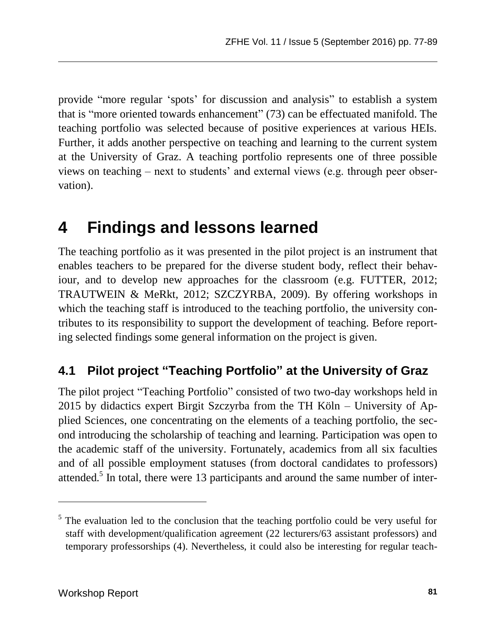provide "more regular 'spots' for discussion and analysis" to establish a system that is "more oriented towards enhancement" (73) can be effectuated manifold. The teaching portfolio was selected because of positive experiences at various HEIs. Further, it adds another perspective on teaching and learning to the current system at the University of Graz. A teaching portfolio represents one of three possible views on teaching – next to students' and external views (e.g. through peer observation).

## **4 Findings and lessons learned**

The teaching portfolio as it was presented in the pilot project is an instrument that enables teachers to be prepared for the diverse student body, reflect their behaviour, and to develop new approaches for the classroom (e.g. FUTTER, 2012; TRAUTWEIN & MeRkt, 2012; SZCZYRBA, 2009). By offering workshops in which the teaching staff is introduced to the teaching portfolio, the university contributes to its responsibility to support the development of teaching. Before reporting selected findings some general information on the project is given.

### **4.1 Pilot project "Teaching Portfolio" at the University of Graz**

The pilot project "Teaching Portfolio" consisted of two two-day workshops held in 2015 by didactics expert Birgit Szczyrba from the TH Köln – University of Applied Sciences, one concentrating on the elements of a teaching portfolio, the second introducing the scholarship of teaching and learning. Participation was open to the academic staff of the university. Fortunately, academics from all six faculties and of all possible employment statuses (from doctoral candidates to professors) attended.<sup>5</sup> In total, there were 13 participants and around the same number of inter-

<sup>&</sup>lt;sup>5</sup> The evaluation led to the conclusion that the teaching portfolio could be very useful for staff with development/qualification agreement (22 lecturers/63 assistant professors) and temporary professorships (4). Nevertheless, it could also be interesting for regular teach-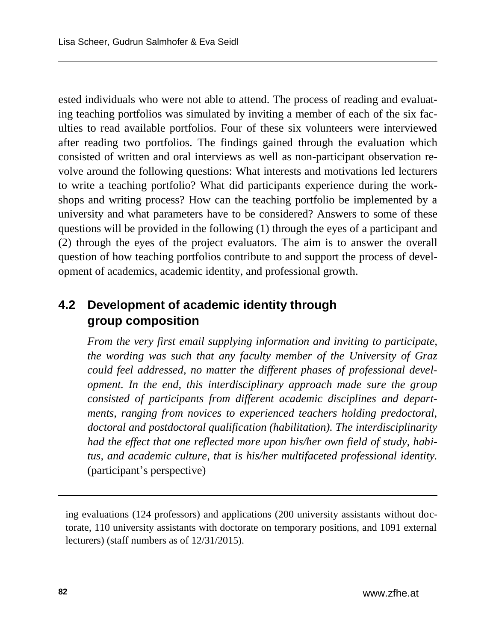ested individuals who were not able to attend. The process of reading and evaluating teaching portfolios was simulated by inviting a member of each of the six faculties to read available portfolios. Four of these six volunteers were interviewed after reading two portfolios. The findings gained through the evaluation which consisted of written and oral interviews as well as non-participant observation revolve around the following questions: What interests and motivations led lecturers to write a teaching portfolio? What did participants experience during the workshops and writing process? How can the teaching portfolio be implemented by a university and what parameters have to be considered? Answers to some of these questions will be provided in the following (1) through the eyes of a participant and (2) through the eyes of the project evaluators. The aim is to answer the overall question of how teaching portfolios contribute to and support the process of development of academics, academic identity, and professional growth.

### **4.2 Development of academic identity through group composition**

*From the very first email supplying information and inviting to participate, the wording was such that any faculty member of the University of Graz could feel addressed, no matter the different phases of professional development. In the end, this interdisciplinary approach made sure the group consisted of participants from different academic disciplines and departments, ranging from novices to experienced teachers holding predoctoral, doctoral and postdoctoral qualification (habilitation). The interdisciplinarity had the effect that one reflected more upon his/her own field of study, habitus, and academic culture, that is his/her multifaceted professional identity.* (participant's perspective)

ing evaluations (124 professors) and applications (200 university assistants without doctorate, 110 university assistants with doctorate on temporary positions, and 1091 external lecturers) (staff numbers as of 12/31/2015).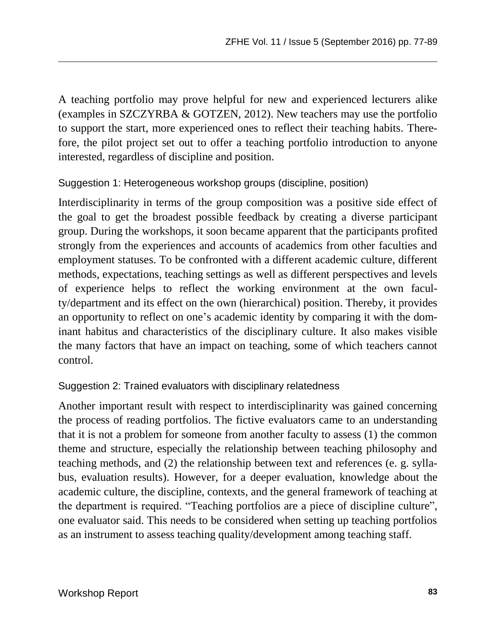A teaching portfolio may prove helpful for new and experienced lecturers alike (examples in SZCZYRBA & GOTZEN, 2012). New teachers may use the portfolio to support the start, more experienced ones to reflect their teaching habits. Therefore, the pilot project set out to offer a teaching portfolio introduction to anyone interested, regardless of discipline and position.

#### Suggestion 1: Heterogeneous workshop groups (discipline, position)

Interdisciplinarity in terms of the group composition was a positive side effect of the goal to get the broadest possible feedback by creating a diverse participant group. During the workshops, it soon became apparent that the participants profited strongly from the experiences and accounts of academics from other faculties and employment statuses. To be confronted with a different academic culture, different methods, expectations, teaching settings as well as different perspectives and levels of experience helps to reflect the working environment at the own faculty/department and its effect on the own (hierarchical) position. Thereby, it provides an opportunity to reflect on one's academic identity by comparing it with the dominant habitus and characteristics of the disciplinary culture. It also makes visible the many factors that have an impact on teaching, some of which teachers cannot control.

#### Suggestion 2: Trained evaluators with disciplinary relatedness

Another important result with respect to interdisciplinarity was gained concerning the process of reading portfolios. The fictive evaluators came to an understanding that it is not a problem for someone from another faculty to assess (1) the common theme and structure, especially the relationship between teaching philosophy and teaching methods, and (2) the relationship between text and references (e. g. syllabus, evaluation results). However, for a deeper evaluation, knowledge about the academic culture, the discipline, contexts, and the general framework of teaching at the department is required. "Teaching portfolios are a piece of discipline culture", one evaluator said. This needs to be considered when setting up teaching portfolios as an instrument to assess teaching quality/development among teaching staff.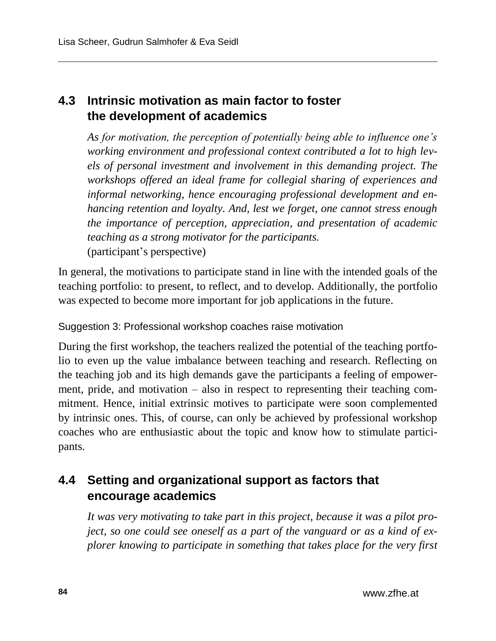### **4.3 Intrinsic motivation as main factor to foster the development of academics**

*As for motivation, the perception of potentially being able to influence one's working environment and professional context contributed a lot to high levels of personal investment and involvement in this demanding project. The workshops offered an ideal frame for collegial sharing of experiences and informal networking, hence encouraging professional development and enhancing retention and loyalty. And, lest we forget, one cannot stress enough the importance of perception, appreciation, and presentation of academic teaching as a strong motivator for the participants.* (participant's perspective)

In general, the motivations to participate stand in line with the intended goals of the teaching portfolio: to present, to reflect, and to develop. Additionally, the portfolio was expected to become more important for job applications in the future.

#### Suggestion 3: Professional workshop coaches raise motivation

During the first workshop, the teachers realized the potential of the teaching portfolio to even up the value imbalance between teaching and research. Reflecting on the teaching job and its high demands gave the participants a feeling of empowerment, pride, and motivation – also in respect to representing their teaching commitment. Hence, initial extrinsic motives to participate were soon complemented by intrinsic ones. This, of course, can only be achieved by professional workshop coaches who are enthusiastic about the topic and know how to stimulate participants.

### **4.4 Setting and organizational support as factors that encourage academics**

*It was very motivating to take part in this project, because it was a pilot project, so one could see oneself as a part of the vanguard or as a kind of explorer knowing to participate in something that takes place for the very first*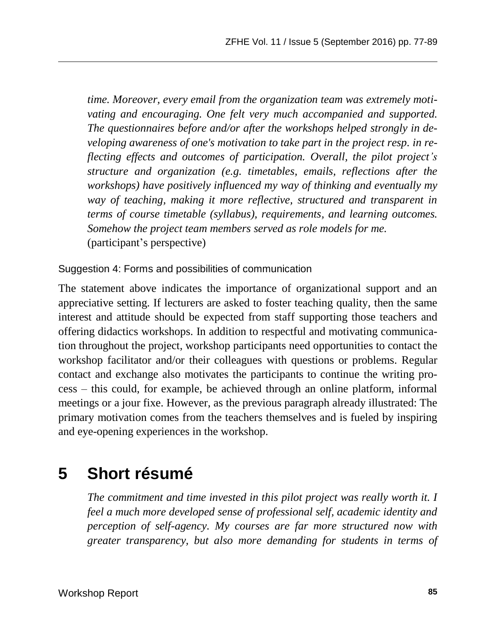*time. Moreover, every email from the organization team was extremely motivating and encouraging. One felt very much accompanied and supported. The questionnaires before and/or after the workshops helped strongly in developing awareness of one's motivation to take part in the project resp. in reflecting effects and outcomes of participation. Overall, the pilot project's structure and organization (e.g. timetables, emails, reflections after the workshops) have positively influenced my way of thinking and eventually my way of teaching, making it more reflective, structured and transparent in terms of course timetable (syllabus), requirements, and learning outcomes. Somehow the project team members served as role models for me.* (participant's perspective)

Suggestion 4: Forms and possibilities of communication

The statement above indicates the importance of organizational support and an appreciative setting. If lecturers are asked to foster teaching quality, then the same interest and attitude should be expected from staff supporting those teachers and offering didactics workshops. In addition to respectful and motivating communication throughout the project, workshop participants need opportunities to contact the workshop facilitator and/or their colleagues with questions or problems. Regular contact and exchange also motivates the participants to continue the writing process – this could, for example, be achieved through an online platform, informal meetings or a jour fixe. However, as the previous paragraph already illustrated: The primary motivation comes from the teachers themselves and is fueled by inspiring and eye-opening experiences in the workshop.

## **5 Short résumé**

*The commitment and time invested in this pilot project was really worth it. I feel a much more developed sense of professional self, academic identity and perception of self-agency. My courses are far more structured now with greater transparency, but also more demanding for students in terms of*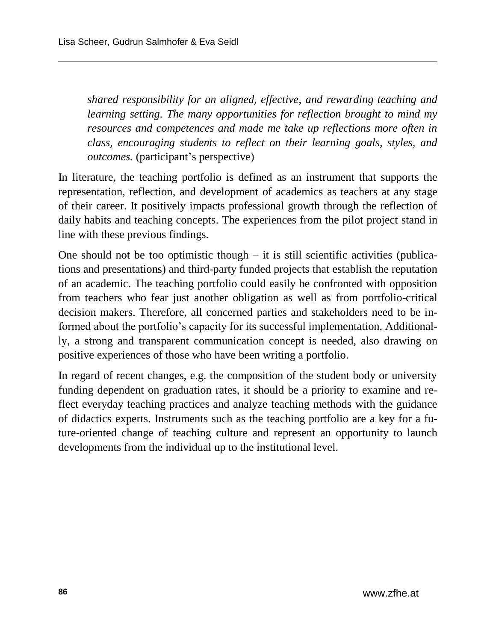*shared responsibility for an aligned, effective, and rewarding teaching and learning setting. The many opportunities for reflection brought to mind my resources and competences and made me take up reflections more often in class, encouraging students to reflect on their learning goals, styles, and outcomes.* (participant's perspective)

In literature, the teaching portfolio is defined as an instrument that supports the representation, reflection, and development of academics as teachers at any stage of their career. It positively impacts professional growth through the reflection of daily habits and teaching concepts. The experiences from the pilot project stand in line with these previous findings.

One should not be too optimistic though  $-$  it is still scientific activities (publications and presentations) and third-party funded projects that establish the reputation of an academic. The teaching portfolio could easily be confronted with opposition from teachers who fear just another obligation as well as from portfolio-critical decision makers. Therefore, all concerned parties and stakeholders need to be informed about the portfolio's capacity for its successful implementation. Additionally, a strong and transparent communication concept is needed, also drawing on positive experiences of those who have been writing a portfolio.

In regard of recent changes, e.g. the composition of the student body or university funding dependent on graduation rates, it should be a priority to examine and reflect everyday teaching practices and analyze teaching methods with the guidance of didactics experts. Instruments such as the teaching portfolio are a key for a future-oriented change of teaching culture and represent an opportunity to launch developments from the individual up to the institutional level.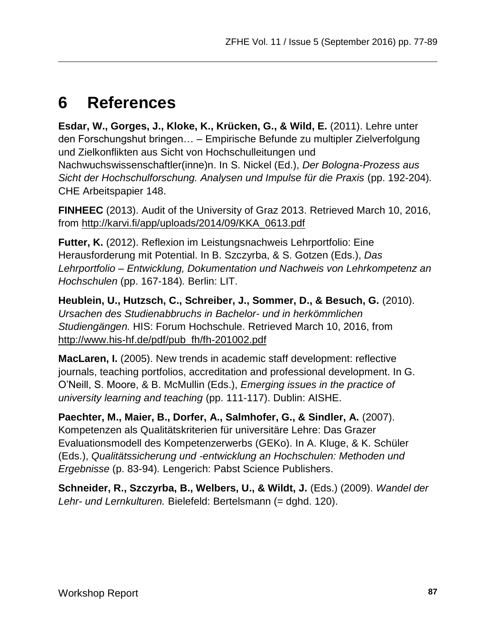## **6 References**

**Esdar, W., Gorges, J., Kloke, K., Krücken, G., & Wild, E.** (2011). Lehre unter den Forschungshut bringen… – Empirische Befunde zu multipler Zielverfolgung und Zielkonflikten aus Sicht von Hochschulleitungen und Nachwuchswissenschaftler(inne)n. In S. Nickel (Ed.), *Der Bologna-Prozess aus Sicht der Hochschulforschung. Analysen und Impulse für die Praxis* (pp. 192-204)*.* CHE Arbeitspapier 148.

**FINHEEC** (2013). Audit of the University of Graz 2013. Retrieved March 10, 2016, from [http://karvi.fi/app/uploads/2014/09/KKA\\_0613.pdf](http://karvi.fi/app/uploads/2014/09/KKA_0613.pdf)

**Futter, K.** (2012). Reflexion im Leistungsnachweis Lehrportfolio: Eine Herausforderung mit Potential. In B. Szczyrba, & S. Gotzen (Eds.), *Das Lehrportfolio – Entwicklung, Dokumentation und Nachweis von Lehrkompetenz an Hochschulen* (pp. 167-184)*.* Berlin: LIT.

**Heublein, U., Hutzsch, C., Schreiber, J., Sommer, D., & Besuch, G.** (2010). *Ursachen des Studienabbruchs in Bachelor- und in herkömmlichen Studiengängen.* HIS: Forum Hochschule. Retrieved March 10, 2016, from [http://www.his-hf.de/pdf/pub\\_fh/fh-201002.pdf](http://www.his-hf.de/pdf/pub_fh/fh-201002.pdf)

**MacLaren, I.** (2005). New trends in academic staff development: reflective journals, teaching portfolios, accreditation and professional development. In G. O'Neill, S. Moore, & B. McMullin (Eds.), *Emerging issues in the practice of university learning and teaching* (pp. 111-117). Dublin: AISHE.

**Paechter, M., Maier, B., Dorfer, A., Salmhofer, G., & Sindler, A.** (2007). Kompetenzen als Qualitätskriterien für universitäre Lehre: Das Grazer Evaluationsmodell des Kompetenzerwerbs (GEKo). In A. Kluge, & K. Schüler (Eds.), *Qualitätssicherung und -entwicklung an Hochschulen: Methoden und Ergebnisse* (p. 83-94)*.* Lengerich: Pabst Science Publishers.

**Schneider, R., Szczyrba, B., Welbers, U., & Wildt, J.** (Eds.) (2009). *Wandel der Lehr- und Lernkulturen.* Bielefeld: Bertelsmann (= dghd. 120).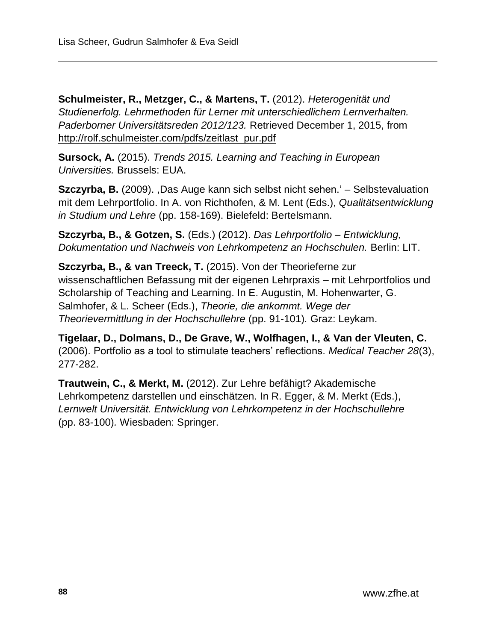**Schulmeister, R., Metzger, C., & Martens, T.** (2012). *Heterogenität und Studienerfolg. Lehrmethoden für Lerner mit unterschiedlichem Lernverhalten. Paderborner Universitätsreden 2012/123.* Retrieved December 1, 2015, from [http://rolf.schulmeister.com/pdfs/zeitlast\\_pur.pdf](http://rolf.schulmeister.com/pdfs/zeitlast_pur.pdf)

**Sursock, A.** (2015). *Trends 2015. Learning and Teaching in European Universities.* Brussels: EUA.

**Szczyrba, B.** (2009). ,Das Auge kann sich selbst nicht sehen.' – Selbstevaluation mit dem Lehrportfolio. In A. von Richthofen, & M. Lent (Eds.), *Qualitätsentwicklung in Studium und Lehre* (pp. 158-169). Bielefeld: Bertelsmann.

**Szczyrba, B., & Gotzen, S.** (Eds.) (2012). *Das Lehrportfolio – Entwicklung, Dokumentation und Nachweis von Lehrkompetenz an Hochschulen.* Berlin: LIT.

**Szczyrba, B., & van Treeck, T.** (2015). Von der Theorieferne zur wissenschaftlichen Befassung mit der eigenen Lehrpraxis – mit Lehrportfolios und Scholarship of Teaching and Learning. In E. Augustin, M. Hohenwarter, G. Salmhofer, & L. Scheer (Eds.), *Theorie, die ankommt. Wege der Theorievermittlung in der Hochschullehre* (pp. 91-101)*.* Graz: Leykam.

**Tigelaar, D., Dolmans, D., De Grave, W., Wolfhagen, I., & Van der Vleuten, C.** (2006). Portfolio as a tool to stimulate teachers' reflections. *Medical Teacher 28*(3), 277-282.

**Trautwein, C., & Merkt, M.** (2012). Zur Lehre befähigt? Akademische Lehrkompetenz darstellen und einschätzen. In R. Egger, & M. Merkt (Eds.), *Lernwelt Universität. Entwicklung von Lehrkompetenz in der Hochschullehre* (pp. 83-100)*.* Wiesbaden: Springer.